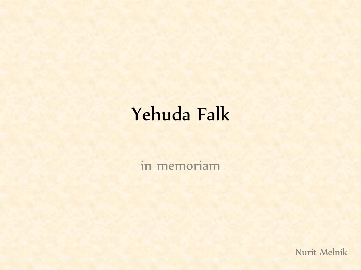### Yehuda Falk

in memoriam

Nurit Melnik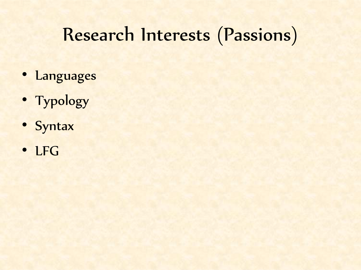#### Research Interests (Passions)

- Languages
- Typology
- Syntax
- LFG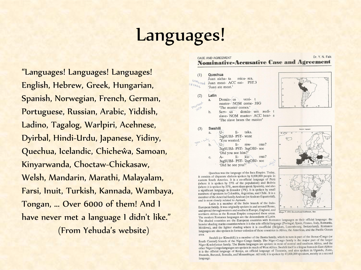#### Languages!

"Languages! Languages! Languages! English, Hebrew, Greek, Hungarian, Spanish, Norwegian, French, German, Portuguese, Russian, Arabic, Yiddish, Ladino, Tagalog, Warlpiri, Acehnese, Dyirbal, Hindi-Urdu, Japanese, Yidiny, Quechua, Icelandic, Chicheŵa, Samoan, Kinyarwanda, Choctaw-Chickasaw, Welsh, Mandarin, Marathi, Malayalam, Farsi, Inuit, Turkish, Kannada, Wambaya, Tongan, ... Over 6000 of them! And I have never met a language I didn't like." (From Yehuda's website)

#### Dr. Y. N. Falk CASE AND AGREEMENT **Nominative-Accusative Case and Agreement**

#### $(1)$ Quechua

Juan aicha- ta micu- rca. unmarked Juan meat- ACC eat- PST.3 'Juan ate meat.'

#### Latin  $(2)$

 $(3)$ 

a.

OM Case

veni- t  $Domin$ - $us$ master- NOM come-3SG 'The master comes.'



#### Swahili  $TL$  $li$ taka.  $\mathbf{a}$ 2sgSUBJ- PST- want 'You wanted.'  $1i$  $mw$ ona? 2sgSUBJ- PST- 3sgOBJ- see 'Did you see him?'  $A$  $li ku$ ona?  $\mathcal{C}$ 3sgSUBJ- PST- 2sgOBJ- see 'Did he see you?'



Ouechua was the language of the Inca Empire. Today, it consists of disparate dialects spoken by 8,000,000 people in eastern South America. It is a co-official language of Perú (where it is spoken by 27% of the population) and Bolivia (where it is spoken by 37%, more than speak Spanish), and also a significant language in Ecuador  $(7%)$ . It is spoken by small numbers of speakers in Colombia, Argentina, and Chile. It is a member of the Amerind family Andean (or Andean-Equatorial), and is most closely related to Aymará.

Latin is a member of the Italic branch of the Indo-European family. It was originally spoken in and around Rome, and spread through western and southern Europe, England, and northern Africa as the Roman Empire conquered these areas. The modern Romance languages are the descendants of Latin.



**Bonation** Leagueser



Maps <sup>®</sup> 1992 Broderbund Software, Inc

The modern Romance languages are the descendants of Edition<br>The shaded countries are the European countries with Romance languages as their official language: the he shaded countries are the European countries where it is the sole official language (Portugal, Spain, France, Italy, Romania, Moldova), and the lighter shading where it is co-official (Belgium, Luxembourg, Switzerland). Romance languages are also spoken in former colonies of these countries in Africa, the Americas, and the Pacific Ocean area.

Swahili (or Kiswahili) is a member of the Bantu family, which in turn is part of the Benue-Congo (or South Central) branch of the Niger-Congo family. The Niger-Congo family is the major part of the larger Niger-Kordofanian family. The Bantu languages are spoken in most of central and southern Africa, and the other Niger-Rondon annual naminy. The Banta hanglanges are spoken in much of West Africa.<br>
Support of the Sales of the Santa Transaction of West Africa. Swahili itself is a lingua franca in East Africa: other Niger-Congo languages are spoken in much of West Africa. Swamin heet is a might number of the official language of Kenya, an official language of Tanzania, and also spoken in Uganda, Zaïre, Rwanda, Burundi, Somalia, and Mozambique. All told, it is spoken by 47,000,000 speakers, mostly as a second language.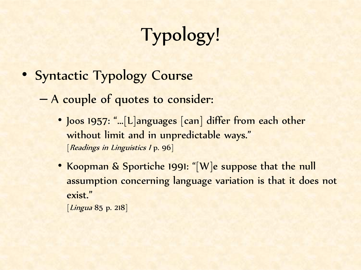# Typology!

• Syntactic Typology Course

– A couple of quotes to consider:

- Joos 1957: "...[L]anguages [can] differ from each other without limit and in unpredictable ways." [Readings in Linguistics 1 p. 96]
- Koopman & Sportiche 1991: "[W]e suppose that the null assumption concerning language variation is that it does not exist." [*Lingua* 85 p. 218]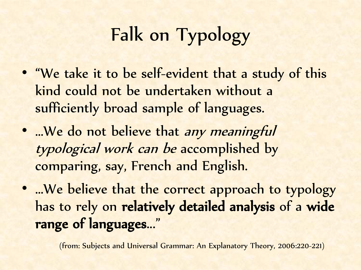## Falk on Typology

- "We take it to be self-evident that a study of this kind could not be undertaken without a sufficiently broad sample of languages.
- …We do not believe that any meaningful typological work can be accomplished by comparing, say, French and English.
- ...We believe that the correct approach to typology has to rely on relatively detailed analysis of a wide range of languages..."

(from: Subjects and Universal Grammar: An Explanatory Theory, 2006:220-221)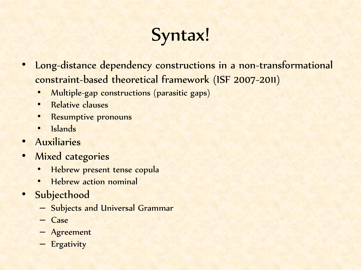### Syntax!

- Long-distance dependency constructions in a non-transformational constraint-based theoretical framework (ISF 2007-2011)
	- Multiple-gap constructions (parasitic gaps)
	- Relative clauses
	- Resumptive pronouns
	- Islands
- Auxiliaries
- Mixed categories
	- Hebrew present tense copula
	- Hebrew action nominal
- Subjecthood
	- Subjects and Universal Grammar
	- Case
	- Agreement
	- Ergativity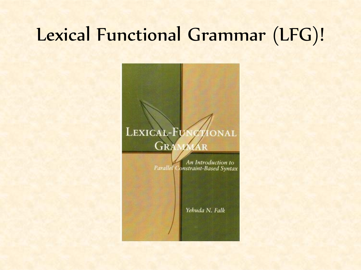#### Lexical Functional Grammar (LFG)!



**Parallel Constraint-Based Syntax** 

Yehuda N. Falk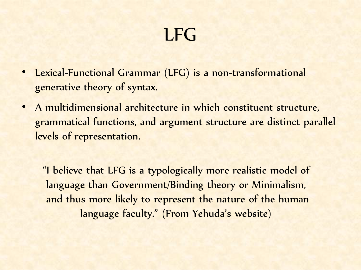#### LFG

- Lexical-Functional Grammar (LFG) is a non-transformational generative theory of syntax.
- A multidimensional architecture in which constituent structure, grammatical functions, and argument structure are distinct parallel levels of representation.

"I believe that LFG is a typologically more realistic model of language than Government/Binding theory or Minimalism, and thus more likely to represent the nature of the human language faculty." (From Yehuda's website)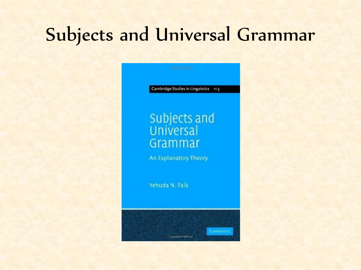#### Subjects and Universal Grammar

Cambridge Studies in Linguistics 113

# **subjects and<br>Universal**<br>Grammar

An Explanatory Theory

Cupper photosic Afraisis and

CAMBRIDGE

Yehuda N. Falk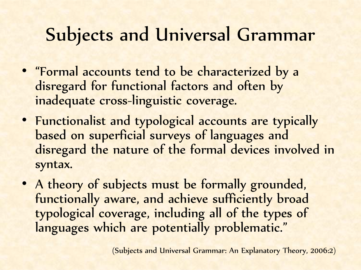### Subjects and Universal Grammar

- "Formal accounts tend to be characterized by a disregard for functional factors and often by inadequate cross-linguistic coverage.
- Functionalist and typological accounts are typically based on superficial surveys of languages and disregard the nature of the formal devices involved in syntax.
- A theory of subjects must be formally grounded, functionally aware, and achieve sufficiently broad typological coverage, including all of the types of languages which are potentially problematic."

(Subjects and Universal Grammar: An Explanatory Theory, 2006:2)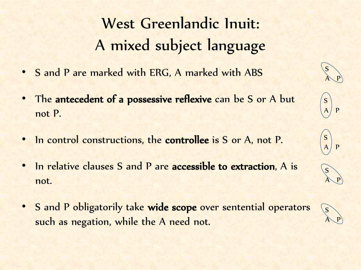#### West Greenlandic Inuit: A mixed subject language

- S and P are marked with ERG, A marked with ABS
- The antecedent of a possessive reflexive can be S or A but not P.
- In control constructions, the controllee is S or A, not P.
- In relative clauses S and P are accessible to extraction, A is not.
- S and P obligatorily take wide scope over sentential operators such as negation, while the A need not.



A P

S

S

s<sup>1</sup>

S

A P

 $\overline{P}$ 

 $\overline{P}$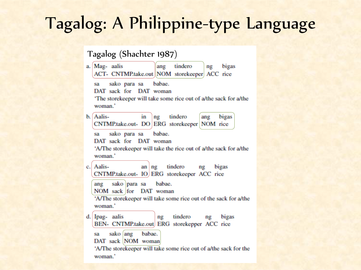#### Tagalog: A Philippine-type Language

#### Tagalog (Shachter 1987)

a. Mag-aalis tindero ang bigas ng ACT- CNTMP.take.out NOM storekeeper ACC rice sako para sa babae. sa DAT sack for DAT woman 'The storekeeper will take some rice out of a/the sack for a/the woman.' b. Aalis- $\ln$   $\ln$ tindero ang bigas CNTMP.take.out-DO ERG storekeeper NOM rice sako para sa babae. sa DAT sack for DAT woman 'A/The storekeeper will take the rice out of a/the sack for a/the woman.' Aalisan ng tindero ng bigas  $c_{\cdot}$ CNTMP.take.out- IO ERG storekeeper ACC rice ang sako para sa babae. NOM sack for DAT woman 'A/The storekeeper will take some rice out of the sack for a/the woman.' d. Ipag- aalis tindero ng ng bigas BEN- CNTMP.take.out ERG storekepper ACC rice sako ang babae. sa DAT sack NOM woman 'A/The storekeeper will take some rice out of a/the sack for the woman.'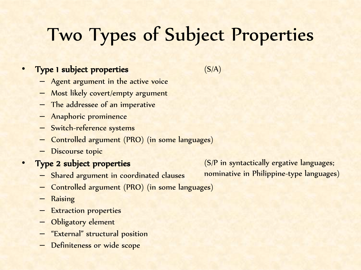### Two Types of Subject Properties

#### • Type 1 subject properties

 $(S/A)$ 

- Agent argument in the active voice
- Most likely covert/empty argument
- The addressee of an imperative
- Anaphoric prominence
- Switch-reference systems
- Controlled argument (PRO) (in some languages)
- Discourse topic
- Type 2 subject properties
	- Shared argument in coordinated clauses
	- Controlled argument (PRO) (in some languages)
	- **Raising**
	- Extraction properties
	- Obligatory element
	- "External" structural position
	- Definiteness or wide scope

(S/P in syntactically ergative languages; nominative in Philippine-type languages)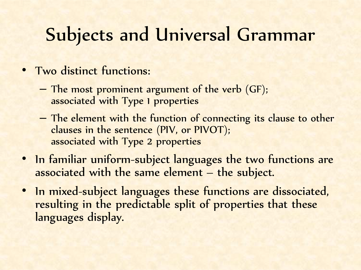### Subjects and Universal Grammar

- Two distinct functions:
	- The most prominent argument of the verb (GF); associated with Type 1 properties
	- The element with the function of connecting its clause to other clauses in the sentence (PIV, or PIVOT); associated with Type 2 properties
- In familiar uniform-subject languages the two functions are associated with the same element – the subject.
- In mixed-subject languages these functions are dissociated, resulting in the predictable split of properties that these languages display.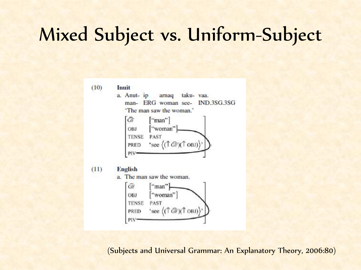#### Mixed Subject vs. Uniform-Subject

 $(10)$ Inuit

> a. Anut- ip arnaq taku- vaa. man- ERG woman see-**IND.3SG.3SG** 'The man saw the woman.'



 $(11)$ **English** 

a. The man saw the woman.

 $GF$ ["man"] "woman" OBJ **TENSE** PAST 'see  $((\uparrow$  GF)( $\uparrow$  OBJ) PRED PIV<sup></sup>

(Subjects and Universal Grammar: An Explanatory Theory, 2006:80)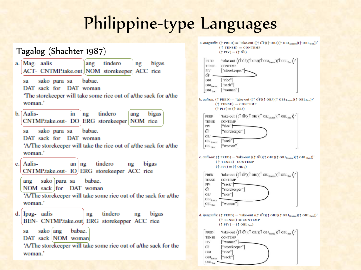#### Philippine-type Languages

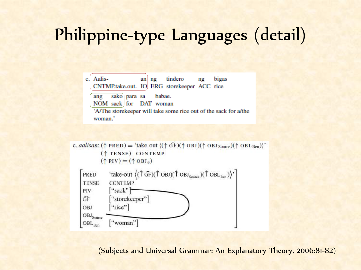#### Philippine-type Languages (detail)

Aalis $an$  ng tindero bigas c. ng CNTMP.take.out- IO ERG storekeeper ACC rice

sako para sa babae. ang

NOM sack for DAT woman

'A/The storekeeper will take some rice out of the sack for a/the woman.'

c. *aalisan*: ( $\uparrow$  PRED) = 'take-out  $\langle (\uparrow \hat{GF})(\uparrow$  OBJ $)(\uparrow$  OBJ<sub>Source</sub>) $(\uparrow$  OBL<sub>Ben</sub>)'  $($ <sup> $\uparrow$ </sup> TENSE) CONTEMP  $(\uparrow$  PIV) =  $(\uparrow$  OBJ<sub>0</sub>)



(Subjects and Universal Grammar: An Explanatory Theory, 2006:81-82)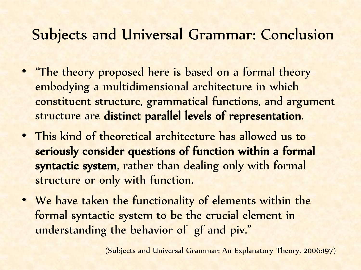#### Subjects and Universal Grammar: Conclusion

- "The theory proposed here is based on a formal theory embodying a multidimensional architecture in which constituent structure, grammatical functions, and argument structure are distinct parallel levels of representation.
- This kind of theoretical architecture has allowed us to seriously consider questions of function within a formal syntactic system, rather than dealing only with formal structure or only with function.
- We have taken the functionality of elements within the formal syntactic system to be the crucial element in understanding the behavior of gf and piv."

(Subjects and Universal Grammar: An Explanatory Theory, 2006:197)